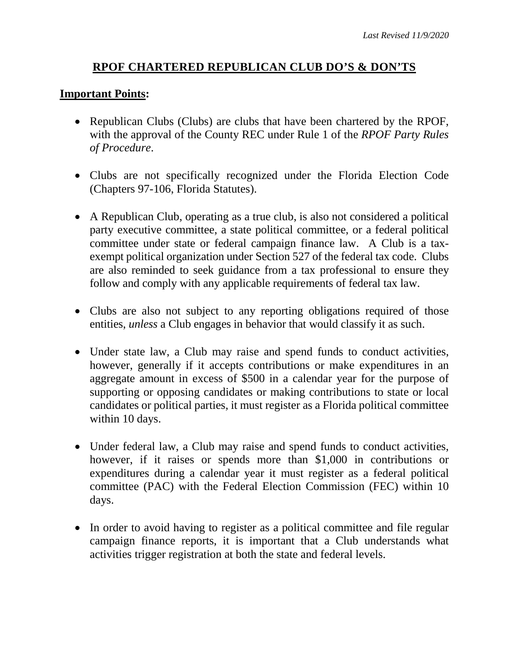## **RPOF CHARTERED REPUBLICAN CLUB DO'S & DON'TS**

#### **Important Points:**

- Republican Clubs (Clubs) are clubs that have been chartered by the RPOF, with the approval of the County REC under Rule 1 of the *RPOF Party Rules of Procedure*.
- Clubs are not specifically recognized under the Florida Election Code (Chapters 97-106, Florida Statutes).
- A Republican Club, operating as a true club, is also not considered a political party executive committee, a state political committee, or a federal political committee under state or federal campaign finance law. A Club is a taxexempt political organization under Section 527 of the federal tax code. Clubs are also reminded to seek guidance from a tax professional to ensure they follow and comply with any applicable requirements of federal tax law.
- Clubs are also not subject to any reporting obligations required of those entities, *unless* a Club engages in behavior that would classify it as such.
- Under state law, a Club may raise and spend funds to conduct activities, however, generally if it accepts contributions or make expenditures in an aggregate amount in excess of \$500 in a calendar year for the purpose of supporting or opposing candidates or making contributions to state or local candidates or political parties, it must register as a Florida political committee within 10 days.
- Under federal law, a Club may raise and spend funds to conduct activities, however, if it raises or spends more than \$1,000 in contributions or expenditures during a calendar year it must register as a federal political committee (PAC) with the Federal Election Commission (FEC) within 10 days.
- In order to avoid having to register as a political committee and file regular campaign finance reports, it is important that a Club understands what activities trigger registration at both the state and federal levels.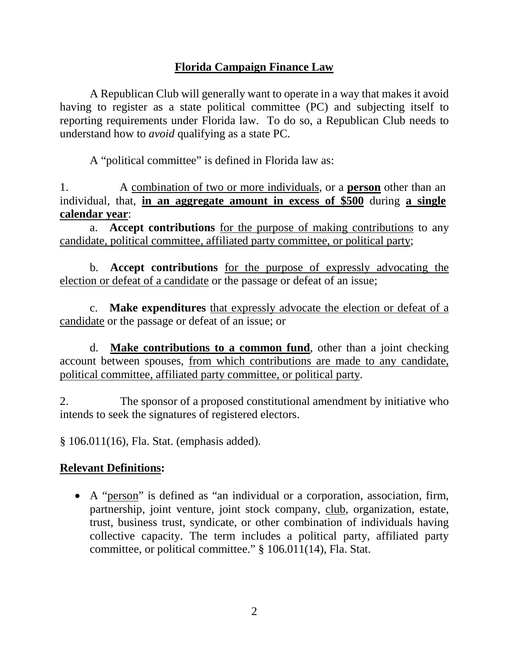# **Florida Campaign Finance Law**

A Republican Club will generally want to operate in a way that makes it avoid having to register as a state political committee (PC) and subjecting itself to reporting requirements under Florida law. To do so, a Republican Club needs to understand how to *avoid* qualifying as a state PC.

A "political committee" is defined in Florida law as:

1. A combination of two or more individuals, or a **person** other than an individual, that, **in an aggregate amount in excess of \$500** during **a single calendar year**:

a. **Accept contributions** for the purpose of making contributions to any candidate, political committee, affiliated party committee, or political party;

b. **Accept contributions** for the purpose of expressly advocating the election or defeat of a candidate or the passage or defeat of an issue;

c. **Make expenditures** that expressly advocate the election or defeat of a candidate or the passage or defeat of an issue; or

d. **Make contributions to a common fund**, other than a joint checking account between spouses, from which contributions are made to any candidate, political committee, affiliated party committee, or political party.

2. The sponsor of a proposed constitutional amendment by initiative who intends to seek the signatures of registered electors.

§ 106.011(16), Fla. Stat. (emphasis added).

# **Relevant Definitions:**

 A "person" is defined as "an individual or a corporation, association, firm, partnership, joint venture, joint stock company, club, organization, estate, trust, business trust, syndicate, or other combination of individuals having collective capacity. The term includes a political party, affiliated party committee, or political committee." § 106.011(14), Fla. Stat.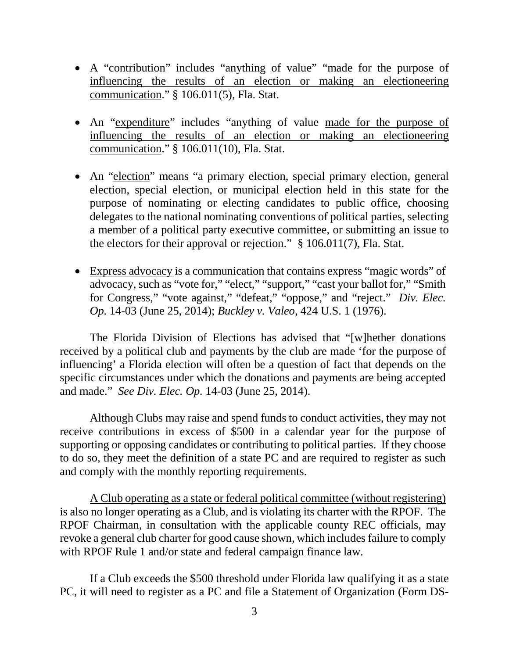- A "contribution" includes "anything of value" "made for the purpose of influencing the results of an election or making an electioneering communication." § 106.011(5), Fla. Stat.
- An "expenditure" includes "anything of value made for the purpose of influencing the results of an election or making an electioneering communication." § 106.011(10), Fla. Stat.
- An "election" means "a primary election, special primary election, general election, special election, or municipal election held in this state for the purpose of nominating or electing candidates to public office, choosing delegates to the national nominating conventions of political parties, selecting a member of a political party executive committee, or submitting an issue to the electors for their approval or rejection." § 106.011(7), Fla. Stat.
- Express advocacy is a communication that contains express "magic words" of advocacy, such as "vote for," "elect," "support," "cast your ballot for," "Smith for Congress," "vote against," "defeat," "oppose," and "reject." *Div. Elec. Op.* 14-03 (June 25, 2014); *Buckley v. Valeo*, 424 U.S. 1 (1976).

The Florida Division of Elections has advised that "[w]hether donations received by a political club and payments by the club are made 'for the purpose of influencing' a Florida election will often be a question of fact that depends on the specific circumstances under which the donations and payments are being accepted and made." *See Div. Elec. Op.* 14-03 (June 25, 2014).

Although Clubs may raise and spend funds to conduct activities, they may not receive contributions in excess of \$500 in a calendar year for the purpose of supporting or opposing candidates or contributing to political parties. If they choose to do so, they meet the definition of a state PC and are required to register as such and comply with the monthly reporting requirements.

A Club operating as a state or federal political committee (without registering) is also no longer operating as a Club, and is violating its charter with the RPOF. The RPOF Chairman, in consultation with the applicable county REC officials, may revoke a general club charter for good cause shown, which includes failure to comply with RPOF Rule 1 and/or state and federal campaign finance law.

If a Club exceeds the \$500 threshold under Florida law qualifying it as a state PC, it will need to register as a PC and file a Statement of Organization (Form DS-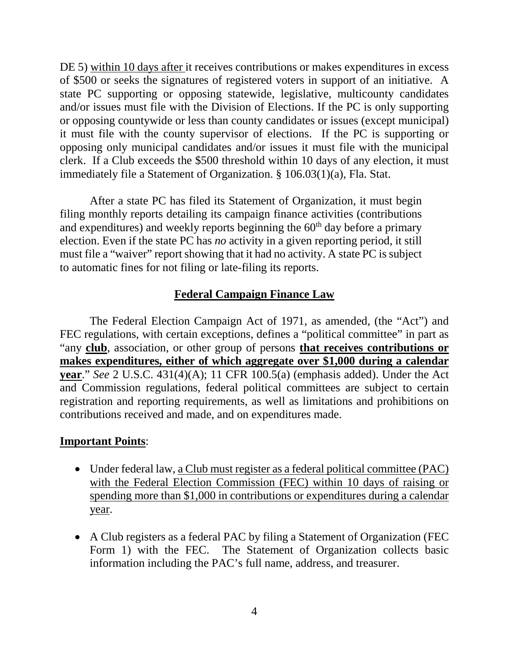DE 5) within 10 days after it receives contributions or makes expenditures in excess of \$500 or seeks the signatures of registered voters in support of an initiative. A state PC supporting or opposing statewide, legislative, multicounty candidates and/or issues must file with the Division of Elections. If the PC is only supporting or opposing countywide or less than county candidates or issues (except municipal) it must file with the county supervisor of elections. If the PC is supporting or opposing only municipal candidates and/or issues it must file with the municipal clerk. If a Club exceeds the \$500 threshold within 10 days of any election, it must immediately file a Statement of Organization. § 106.03(1)(a), Fla. Stat.

After a state PC has filed its Statement of Organization, it must begin filing monthly reports detailing its campaign finance activities (contributions and expenditures) and weekly reports beginning the  $60<sup>th</sup>$  day before a primary election. Even if the state PC has *no* activity in a given reporting period, it still must file a "waiver" report showing that it had no activity. A state PC is subject to automatic fines for not filing or late-filing its reports.

## **Federal Campaign Finance Law**

The Federal Election Campaign Act of 1971, as amended, (the "Act") and FEC regulations, with certain exceptions, defines a "political committee" in part as "any **club**, association, or other group of persons **that receives contributions or makes expenditures, either of which aggregate over \$1,000 during a calendar year**." *See* 2 U.S.C. 431(4)(A); 11 CFR 100.5(a) (emphasis added). Under the Act and Commission regulations, federal political committees are subject to certain registration and reporting requirements, as well as limitations and prohibitions on contributions received and made, and on expenditures made.

#### **Important Points**:

- Under federal law, a Club must register as a federal political committee (PAC) with the Federal Election Commission (FEC) within 10 days of raising or spending more than \$1,000 in contributions or expenditures during a calendar year.
- A Club registers as a federal PAC by filing a Statement of Organization (FEC Form 1) with the FEC. The Statement of Organization collects basic information including the PAC's full name, address, and treasurer.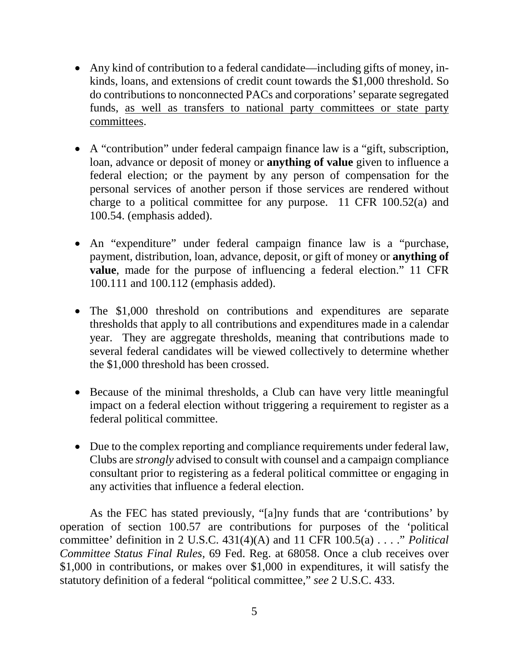- Any kind of contribution to a federal candidate—including gifts of money, inkinds, loans, and extensions of credit count towards the \$1,000 threshold. So do contributions to nonconnected PACs and corporations' separate segregated funds, as well as transfers to national party committees or state party committees.
- A "contribution" under federal campaign finance law is a "gift, subscription, loan, advance or deposit of money or **anything of value** given to influence a federal election; or the payment by any person of compensation for the personal services of another person if those services are rendered without charge to a political committee for any purpose. 11 CFR 100.52(a) and 100.54. (emphasis added).
- An "expenditure" under federal campaign finance law is a "purchase, payment, distribution, loan, advance, deposit, or gift of money or **anything of value**, made for the purpose of influencing a federal election." 11 CFR 100.111 and 100.112 (emphasis added).
- The \$1,000 threshold on contributions and expenditures are separate thresholds that apply to all contributions and expenditures made in a calendar year. They are aggregate thresholds, meaning that contributions made to several federal candidates will be viewed collectively to determine whether the \$1,000 threshold has been crossed.
- Because of the minimal thresholds, a Club can have very little meaningful impact on a federal election without triggering a requirement to register as a federal political committee.
- Due to the complex reporting and compliance requirements under federal law, Clubs are *strongly* advised to consult with counsel and a campaign compliance consultant prior to registering as a federal political committee or engaging in any activities that influence a federal election.

As the FEC has stated previously, "[a]ny funds that are 'contributions' by operation of section 100.57 are contributions for purposes of the 'political committee' definition in 2 U.S.C. 431(4)(A) and 11 CFR 100.5(a) . . . ." *Political Committee Status Final Rules,* 69 Fed. Reg. at 68058. Once a club receives over \$1,000 in contributions, or makes over \$1,000 in expenditures, it will satisfy the statutory definition of a federal "political committee," *see* 2 U.S.C. 433.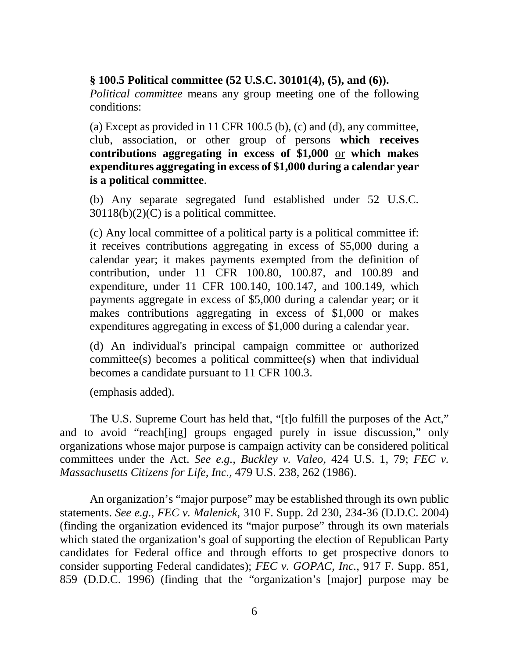#### **§ 100.5 Political committee (52 U.S.C. 30101(4), (5), and (6)).**

*Political committee* means any group meeting one of the following conditions:

(a) Except as provided in 11 CFR 100.5 (b), (c) and (d), any committee, club, association, or other group of persons **which receives contributions aggregating in excess of \$1,000** or **which makes expenditures aggregating in excess of \$1,000 during a calendar year is a [political committee](https://www.law.cornell.edu/definitions/index.php?width=840&height=800&iframe=true&def_id=10b438e5952bd2500bc59ebb03035eb2&term_occur=999&term_src=Title:11:Chapter:I:Subchapter:A:Part:100:Subpart:A:100.5)**.

(b) Any separate segregated fund established under 52 U.S.C.  $30118(b)(2)(C)$  is a political committee.

(c) Any local committee of a political party is a [political committee](https://www.law.cornell.edu/definitions/index.php?width=840&height=800&iframe=true&def_id=10b438e5952bd2500bc59ebb03035eb2&term_occur=999&term_src=Title:11:Chapter:I:Subchapter:A:Part:100:Subpart:A:100.5) if: it receives [contributions](https://www.law.cornell.edu/definitions/index.php?width=840&height=800&iframe=true&def_id=2affd1738ca7c6916c2741784eb0e7d0&term_occur=999&term_src=Title:11:Chapter:I:Subchapter:A:Part:100:Subpart:A:100.5) aggregating in excess of \$5,000 during a calendar year; it makes payments exempted from the definition of contribution, under 11 CFR 100.80, 100.87, and 100.89 and expenditure, under 11 CFR 100.140, 100.147, and 100.149, which payments aggregate in excess of \$5,000 during a calendar year; or it makes contributions aggregating in excess of \$1,000 or makes expenditures aggregating in excess of \$1,000 during a calendar year.

(d) An individual's principal campaign committee or authorized committee(s) becomes a political committee(s) when that individual becomes a candidate pursuant to 11 CFR 100.3.

(emphasis added).

The U.S. Supreme Court has held that, "[t]o fulfill the purposes of the Act," and to avoid "reach[ing] groups engaged purely in issue discussion," only organizations whose major purpose is campaign activity can be considered political committees under the Act. *See e.g., Buckley v. Valeo,* 424 U.S. 1, 79; *FEC v. Massachusetts Citizens for Life, Inc.,* 479 U.S. 238, 262 (1986).

An organization's "major purpose" may be established through its own public statements. *See e.g., FEC v. Malenick,* 310 F. Supp. 2d 230, 234-36 (D.D.C. 2004) (finding the organization evidenced its "major purpose" through its own materials which stated the organization's goal of supporting the election of Republican Party candidates for Federal office and through efforts to get prospective donors to consider supporting Federal candidates); *FEC v. GOPAC, Inc.,* 917 F. Supp. 851, 859 (D.D.C. 1996) (finding that the "organization's [major] purpose may be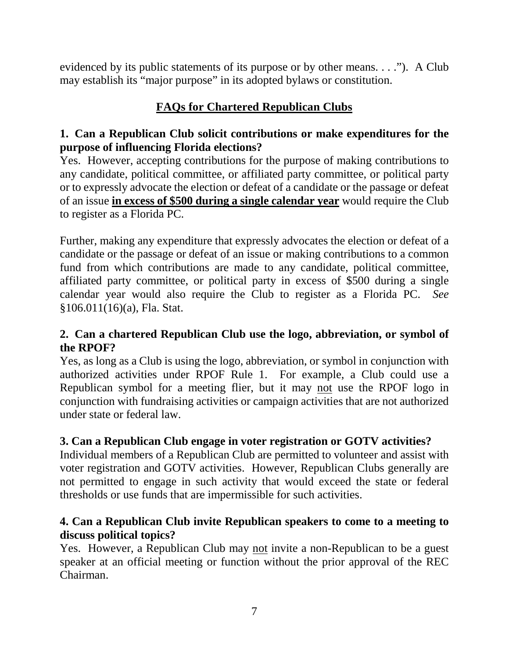evidenced by its public statements of its purpose or by other means. . . ."). A Club may establish its "major purpose" in its adopted bylaws or constitution.

# **FAQs for Chartered Republican Clubs**

## **1. Can a Republican Club solicit contributions or make expenditures for the purpose of influencing Florida elections?**

Yes. However, accepting contributions for the purpose of making contributions to any candidate, political committee, or affiliated party committee, or political party or to expressly advocate the election or defeat of a candidate or the passage or defeat of an issue **in excess of \$500 during a single calendar year** would require the Club to register as a Florida PC.

Further, making any expenditure that expressly advocates the election or defeat of a candidate or the passage or defeat of an issue or making contributions to a common fund from which contributions are made to any candidate, political committee, affiliated party committee, or political party in excess of \$500 during a single calendar year would also require the Club to register as a Florida PC. *See*  §106.011(16)(a), Fla. Stat.

#### **2. Can a chartered Republican Club use the logo, abbreviation, or symbol of the RPOF?**

Yes, as long as a Club is using the logo, abbreviation, or symbol in conjunction with authorized activities under RPOF Rule 1. For example, a Club could use a Republican symbol for a meeting flier, but it may not use the RPOF logo in conjunction with fundraising activities or campaign activities that are not authorized under state or federal law.

## **3. Can a Republican Club engage in voter registration or GOTV activities?**

Individual members of a Republican Club are permitted to volunteer and assist with voter registration and GOTV activities. However, Republican Clubs generally are not permitted to engage in such activity that would exceed the state or federal thresholds or use funds that are impermissible for such activities.

## **4. Can a Republican Club invite Republican speakers to come to a meeting to discuss political topics?**

Yes. However, a Republican Club may not invite a non-Republican to be a guest speaker at an official meeting or function without the prior approval of the REC Chairman.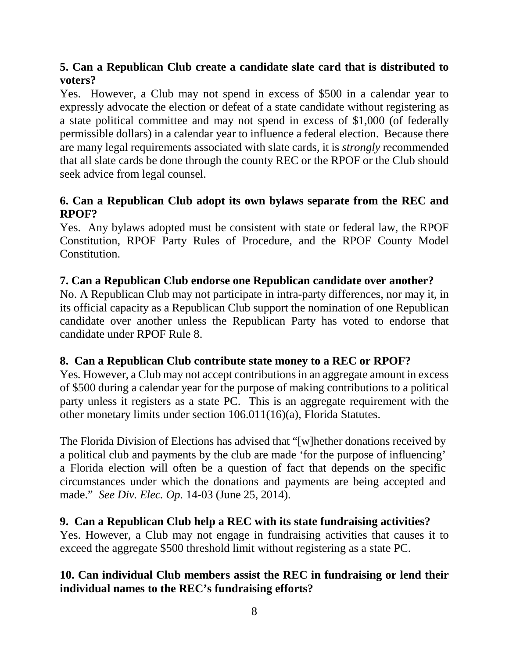# **5. Can a Republican Club create a candidate slate card that is distributed to voters?**

Yes. However, a Club may not spend in excess of \$500 in a calendar year to expressly advocate the election or defeat of a state candidate without registering as a state political committee and may not spend in excess of \$1,000 (of federally permissible dollars) in a calendar year to influence a federal election. Because there are many legal requirements associated with slate cards, it is *strongly* recommended that all slate cards be done through the county REC or the RPOF or the Club should seek advice from legal counsel.

## **6. Can a Republican Club adopt its own bylaws separate from the REC and RPOF?**

Yes. Any bylaws adopted must be consistent with state or federal law, the RPOF Constitution, RPOF Party Rules of Procedure, and the RPOF County Model Constitution.

## **7. Can a Republican Club endorse one Republican candidate over another?**

No. A Republican Club may not participate in intra-party differences, nor may it, in its official capacity as a Republican Club support the nomination of one Republican candidate over another unless the Republican Party has voted to endorse that candidate under RPOF Rule 8.

## **8. Can a Republican Club contribute state money to a REC or RPOF?**

Yes*.* However, a Club may not accept contributions in an aggregate amount in excess of \$500 during a calendar year for the purpose of making contributions to a political party unless it registers as a state PC. This is an aggregate requirement with the other monetary limits under section 106.011(16)(a), Florida Statutes.

The Florida Division of Elections has advised that "[w]hether donations received by a political club and payments by the club are made 'for the purpose of influencing' a Florida election will often be a question of fact that depends on the specific circumstances under which the donations and payments are being accepted and made." *See Div. Elec. Op.* 14-03 (June 25, 2014).

## **9. Can a Republican Club help a REC with its state fundraising activities?**

Yes. However, a Club may not engage in fundraising activities that causes it to exceed the aggregate \$500 threshold limit without registering as a state PC.

# **10. Can individual Club members assist the REC in fundraising or lend their individual names to the REC's fundraising efforts?**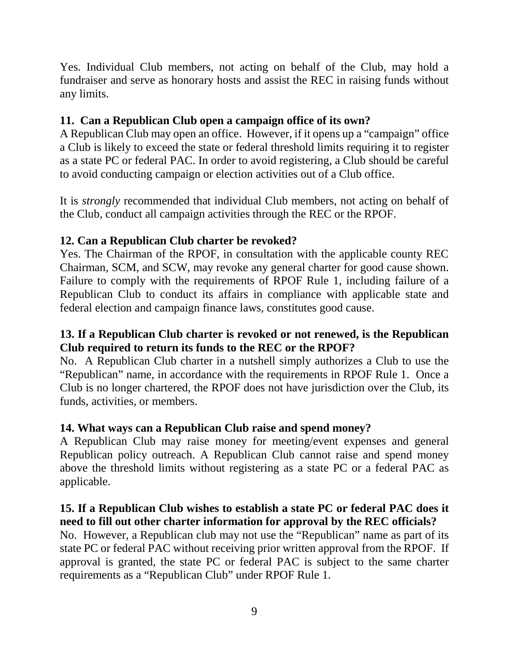Yes. Individual Club members, not acting on behalf of the Club, may hold a fundraiser and serve as honorary hosts and assist the REC in raising funds without any limits.

# **11. Can a Republican Club open a campaign office of its own?**

A Republican Club may open an office. However, if it opens up a "campaign" office a Club is likely to exceed the state or federal threshold limits requiring it to register as a state PC or federal PAC. In order to avoid registering, a Club should be careful to avoid conducting campaign or election activities out of a Club office.

It is *strongly* recommended that individual Club members, not acting on behalf of the Club, conduct all campaign activities through the REC or the RPOF.

#### **12. Can a Republican Club charter be revoked?**

Yes. The Chairman of the RPOF, in consultation with the applicable county REC Chairman, SCM, and SCW, may revoke any general charter for good cause shown. Failure to comply with the requirements of RPOF Rule 1, including failure of a Republican Club to conduct its affairs in compliance with applicable state and federal election and campaign finance laws, constitutes good cause.

#### **13. If a Republican Club charter is revoked or not renewed, is the Republican Club required to return its funds to the REC or the RPOF?**

No. A Republican Club charter in a nutshell simply authorizes a Club to use the "Republican" name, in accordance with the requirements in RPOF Rule 1. Once a Club is no longer chartered, the RPOF does not have jurisdiction over the Club, its funds, activities, or members.

## **14. What ways can a Republican Club raise and spend money?**

A Republican Club may raise money for meeting/event expenses and general Republican policy outreach. A Republican Club cannot raise and spend money above the threshold limits without registering as a state PC or a federal PAC as applicable.

#### **15. If a Republican Club wishes to establish a state PC or federal PAC does it need to fill out other charter information for approval by the REC officials?**

No. However, a Republican club may not use the "Republican" name as part of its state PC or federal PAC without receiving prior written approval from the RPOF. If approval is granted, the state PC or federal PAC is subject to the same charter requirements as a "Republican Club" under RPOF Rule 1.